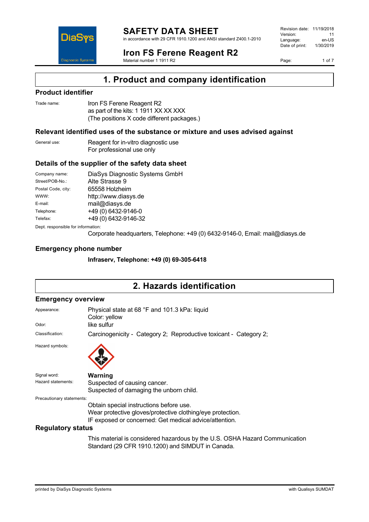

in accordance with 29 CFR 1910.1200 and ANSI standard Z400.1-2010

Revision date: 11/19/2018 Version: 11<br>Language: en-LIS Language: en-US<br>Date of print: 1/30/2019  $Date$  of print:

**DiaS Diagnostic Systen** 

## **Iron FS Ferene Reagent R2**

Material number 1 1911 R2

Page: 1 of 7

# **1. Product and company identification**

### **Product identifier**

| Trade name: | Iron FS Ferene Reagent R2                  |
|-------------|--------------------------------------------|
|             | as part of the kits: 1 1911 XX XX XXX      |
|             | (The positions X code different packages.) |

### **Relevant identified uses of the substance or mixture and uses advised against**

| General use: | Reagent for in-vitro diagnostic use |
|--------------|-------------------------------------|
|              | For professional use only           |

### **Details of the supplier of the safety data sheet**

| Company name:                      | DiaSys Diagnostic Systems GmbH |  |
|------------------------------------|--------------------------------|--|
| Street/POB-No.:                    | Alte Strasse 9                 |  |
| Postal Code, city:                 | 65558 Holzheim                 |  |
| WWW:                               | http://www.diasys.de           |  |
| E-mail:                            | mail@diasys.de                 |  |
| Telephone:                         | +49 (0) 6432-9146-0            |  |
| Telefax:                           | +49 (0) 6432-9146-32           |  |
| Dept. responsible for information: |                                |  |

Corporate headquarters, Telephone: +49 (0) 6432-9146-0, Email: mail@diasys.de

### **Emergency phone number**

**Infraserv, Telephone: +49 (0) 69-305-6418**

# **2. Hazards identification**

### **Emergency overview**

| Appearance:               | Physical state at 68 °F and 101.3 kPa: liquid<br>Color: yellow    |  |
|---------------------------|-------------------------------------------------------------------|--|
| Odor:                     | like sulfur                                                       |  |
| Classification:           | Carcinogenicity - Category 2; Reproductive toxicant - Category 2; |  |
| Hazard symbols:           |                                                                   |  |
| Signal word:              | Warning                                                           |  |
|                           | Suspected of causing cancer.                                      |  |
|                           | Suspected of damaging the unborn child.                           |  |
| Precautionary statements: |                                                                   |  |
|                           | Obtain special instructions before use.                           |  |
|                           | Wear protective gloves/protective clothing/eye protection.        |  |
|                           | IF exposed or concerned: Get medical advice/attention.            |  |
| <b>Regulatory status</b>  |                                                                   |  |
| Hazard statements:        |                                                                   |  |

This material is considered hazardous by the U.S. OSHA Hazard Communication Standard (29 CFR 1910.1200) and SIMDUT in Canada.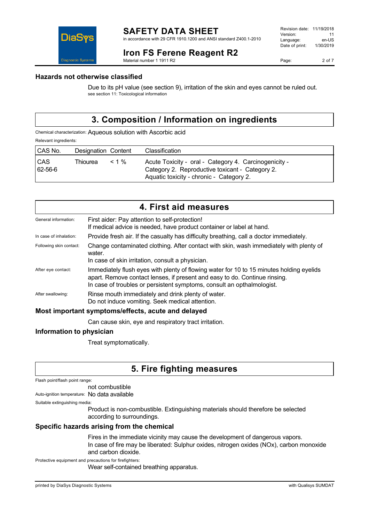### **Iron FS Ferene Reagent R2**

Material number 1 1911 R2

Page: 2 of 7

### **Hazards not otherwise classified**

DiaS

**Diagnostic Systen** 

Due to its pH value (see section 9), irritation of the skin and eyes cannot be ruled out. see section 11: Toxicological information

# **3. Composition / Information on ingredients**

Chemical characterization: Aqueous solution with Ascorbic acid Relevant ingredients:

| CAS No.               | Designation Content |          | Classification                                                                                                                                       |
|-----------------------|---------------------|----------|------------------------------------------------------------------------------------------------------------------------------------------------------|
| <b>CAS</b><br>62-56-6 | Thiourea            | $< 1 \%$ | Acute Toxicity - oral - Category 4. Carcinogenicity -<br>Category 2. Reproductive toxicant - Category 2.<br>Aquatic toxicity - chronic - Category 2. |

| 4. First aid measures                              |                                                                                                                                                                                                                                                  |  |
|----------------------------------------------------|--------------------------------------------------------------------------------------------------------------------------------------------------------------------------------------------------------------------------------------------------|--|
| General information:                               | First aider: Pay attention to self-protection!<br>If medical advice is needed, have product container or label at hand.                                                                                                                          |  |
| In case of inhalation:                             | Provide fresh air. If the casualty has difficulty breathing, call a doctor immediately.                                                                                                                                                          |  |
| Following skin contact:                            | Change contaminated clothing. After contact with skin, wash immediately with plenty of<br>water.                                                                                                                                                 |  |
|                                                    | In case of skin irritation, consult a physician.                                                                                                                                                                                                 |  |
| After eye contact:                                 | Immediately flush eyes with plenty of flowing water for 10 to 15 minutes holding eyelids<br>apart. Remove contact lenses, if present and easy to do. Continue rinsing.<br>In case of troubles or persistent symptoms, consult an opthalmologist. |  |
| After swallowing:                                  | Rinse mouth immediately and drink plenty of water.<br>Do not induce vomiting. Seek medical attention.                                                                                                                                            |  |
| Most important symptoms/effects, acute and delayed |                                                                                                                                                                                                                                                  |  |
|                                                    | Can cause skin, eye and respiratory tract irritation.                                                                                                                                                                                            |  |

### **Information to physician**

Treat symptomatically.

# **5. Fire fighting measures**

| Flash point/flash point range: |  |  |
|--------------------------------|--|--|
|--------------------------------|--|--|

not combustible Auto-ignition temperature: No data available

Suitable extinguishing media:

Product is non-combustible. Extinguishing materials should therefore be selected according to surroundings.

### **Specific hazards arising from the chemical**

Fires in the immediate vicinity may cause the development of dangerous vapors. In case of fire may be liberated: Sulphur oxides, nitrogen oxides (NOx), carbon monoxide and carbon dioxide.

Protective equipment and precautions for firefighters:

Wear self-contained breathing apparatus.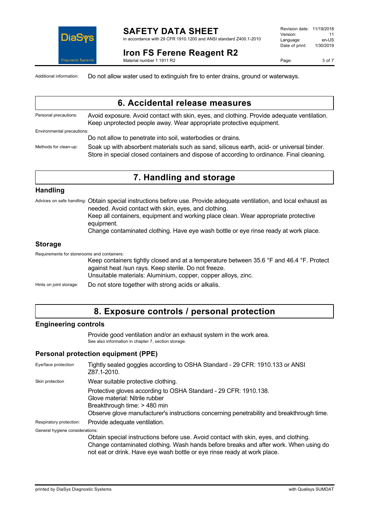

#### **SAFETY DATA SHEET** in accordance with 29 CFR 1910.1200 and ANSI standard Z400.1-2010

**Iron FS Ferene Reagent R2**

Material number 1 1911 R2

Page: 3 of 7

Additional information: Do not allow water used to extinguish fire to enter drains, ground or waterways.

|                            | 6. Accidental release measures                                                                                                                                                         |
|----------------------------|----------------------------------------------------------------------------------------------------------------------------------------------------------------------------------------|
| Personal precautions:      | Avoid exposure. Avoid contact with skin, eyes, and clothing. Provide adequate ventilation.<br>Keep unprotected people away. Wear appropriate protective equipment.                     |
| Environmental precautions: |                                                                                                                                                                                        |
|                            | Do not allow to penetrate into soil, waterbodies or drains.                                                                                                                            |
| Methods for clean-up:      | Soak up with absorbent materials such as sand, siliceus earth, acid- or universal binder.<br>Store in special closed containers and dispose of according to ordinance. Final cleaning. |

## **7. Handling and storage**

#### **Handling**

Advices on safe handling: Obtain special instructions before use. Provide adequate ventilation, and local exhaust as needed. Avoid contact with skin, eyes, and clothing.

Keep all containers, equipment and working place clean. Wear appropriate protective equipment.

Change contaminated clothing. Have eye wash bottle or eye rinse ready at work place.

#### **Storage**

Requirements for storerooms and containers:

Keep containers tightly closed and at a temperature between 35.6 °F and 46.4 °F. Protect against heat /sun rays. Keep sterile. Do not freeze. Unsuitable materials: Aluminium, copper, copper alloys, zinc.

Hints on joint storage: Do not store together with strong acids or alkalis.

### **8. Exposure controls / personal protection**

#### **Engineering controls**

Provide good ventilation and/or an exhaust system in the work area. See also information in chapter 7, section storage.

#### **Personal protection equipment (PPE)**

| Eye/face protection             | Tightly sealed goggles according to OSHA Standard - 29 CFR: 1910.133 or ANSI<br>Z87.1-2010.                                                                                                                                                              |
|---------------------------------|----------------------------------------------------------------------------------------------------------------------------------------------------------------------------------------------------------------------------------------------------------|
| Skin protection                 | Wear suitable protective clothing.                                                                                                                                                                                                                       |
|                                 | Protective gloves according to OSHA Standard - 29 CFR: 1910.138.<br>Glove material: Nitrile rubber<br>Breakthrough time: > 480 min<br>Observe glove manufacturer's instructions concerning penetrability and breakthrough time.                          |
| Respiratory protection:         | Provide adequate ventilation.                                                                                                                                                                                                                            |
| General hygiene considerations: |                                                                                                                                                                                                                                                          |
|                                 | Obtain special instructions before use. Avoid contact with skin, eyes, and clothing.<br>Change contaminated clothing. Wash hands before breaks and after work. When using do<br>not eat or drink. Have eye wash bottle or eye rinse ready at work place. |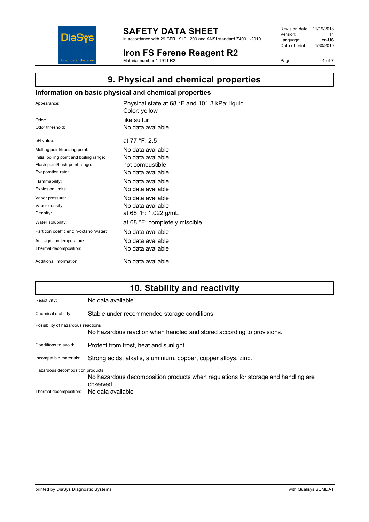

# **SAFETY DATA SHEET**

in accordance with 29 CFR 1910.1200 and ANSI standard Z400.1-2010

**Iron FS Ferene Reagent R2** Material number 1 1911 R2

Revision date: 11/19/2018 Version: 11<br>Language: en-US Language: Date of print: 1/30/2019

Page: 4 of 7

# **9. Physical and chemical properties**

### **Information on basic physical and chemical properties**

| Appearance:                              | Physical state at 68 °F and 101.3 kPa: liquid<br>Color: yellow |
|------------------------------------------|----------------------------------------------------------------|
| Odor:                                    | like sulfur                                                    |
| Odor threshold:                          | No data available                                              |
| pH value:                                | at 77 °F: 2.5                                                  |
| Melting point/freezing point:            | No data available                                              |
| Initial boiling point and boiling range: | No data available                                              |
| Flash point/flash point range:           | not combustible                                                |
| Evaporation rate:                        | No data available                                              |
| Flammability:                            | No data available                                              |
| Explosion limits:                        | No data available                                              |
| Vapor pressure:                          | No data available                                              |
| Vapor density:                           | No data available                                              |
| Density:                                 | at 68 °F: 1.022 g/mL                                           |
| Water solubility:                        | at 68 °F: completely miscible                                  |
| Partition coefficient: n-octanol/water:  | No data available                                              |
| Auto-ignition temperature:               | No data available                                              |
| Thermal decomposition:                   | No data available                                              |
| Additional information:                  | No data available                                              |

# **10. Stability and reactivity**

| Reactivity:                                                                                                            | No data available                                                      |  |
|------------------------------------------------------------------------------------------------------------------------|------------------------------------------------------------------------|--|
| Chemical stability:                                                                                                    | Stable under recommended storage conditions.                           |  |
| Possibility of hazardous reactions                                                                                     | No hazardous reaction when handled and stored according to provisions. |  |
| Conditions to avoid:                                                                                                   | Protect from frost, heat and sunlight.                                 |  |
| Incompatible materials:                                                                                                | Strong acids, alkalis, aluminium, copper, copper alloys, zinc.         |  |
| Hazardous decomposition products:<br>No hazardous decomposition products when regulations for storage and handling are |                                                                        |  |
| Thermal decomposition:                                                                                                 | observed.<br>No data available                                         |  |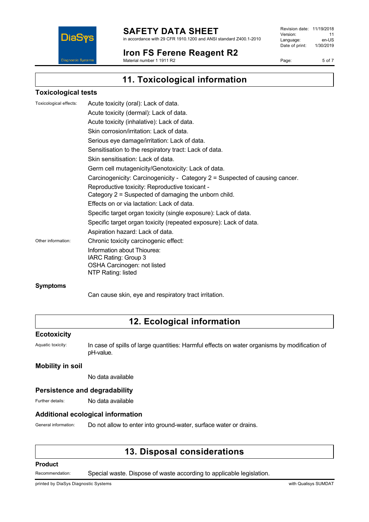

### **SAFETY DATA SHEET**

in accordance with 29 CFR 1910.1200 and ANSI standard Z400.1-2010

#### **Iron FS Ferene Reagent R2** Material number 1 1911 R2

Revision date: 11/19/2018<br>Version: 11 Version: 11<br>Language: en-US Language: Date of print: 1/30/2019

Page: 5 of 7

**11. Toxicological information**

#### **Toxicological tests**

| Toxicological effects: | Acute toxicity (oral): Lack of data.                                         |
|------------------------|------------------------------------------------------------------------------|
|                        | Acute toxicity (dermal): Lack of data.                                       |
|                        | Acute toxicity (inhalative): Lack of data.                                   |
|                        | Skin corrosion/irritation: Lack of data.                                     |
|                        | Serious eye damage/irritation: Lack of data.                                 |
|                        | Sensitisation to the respiratory tract: Lack of data.                        |
|                        | Skin sensitisation: Lack of data.                                            |
|                        | Germ cell mutagenicity/Genotoxicity: Lack of data.                           |
|                        | Carcinogenicity: Carcinogenicity - Category 2 = Suspected of causing cancer. |
|                        | Reproductive toxicity: Reproductive toxicant -                               |
|                        | Category 2 = Suspected of damaging the unborn child.                         |
|                        | Effects on or via lactation: Lack of data.                                   |
|                        | Specific target organ toxicity (single exposure): Lack of data.              |
|                        | Specific target organ toxicity (repeated exposure): Lack of data.            |
|                        | Aspiration hazard: Lack of data.                                             |
| Other information:     | Chronic toxicity carcinogenic effect:                                        |
|                        | Information about Thiourea:                                                  |
|                        | IARC Rating: Group 3                                                         |
|                        | OSHA Carcinogen: not listed                                                  |
|                        | NTP Rating: listed                                                           |
|                        |                                                                              |

#### **Symptoms**

Can cause skin, eye and respiratory tract irritation.

# **12. Ecological information**

#### **Ecotoxicity**

Aquatic toxicity: In case of spills of large quantities: Harmful effects on water organisms by modification of pH-value.

#### **Mobility in soil**

No data available

#### **Persistence and degradability**

Further details: No data available

#### **Additional ecological information**

General information: Do not allow to enter into ground-water, surface water or drains.

# **13. Disposal considerations**

#### **Product**

Recommendation: Special waste. Dispose of waste according to applicable legislation.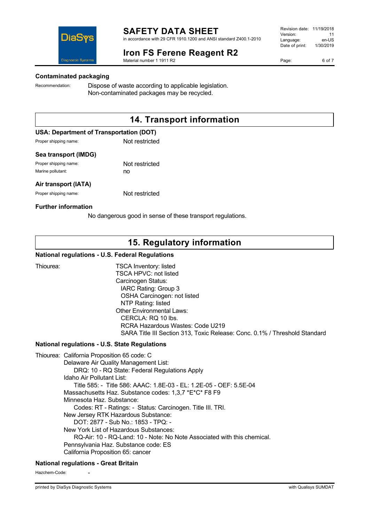

## **Iron FS Ferene Reagent R2**

Material number 1 1911 R2

**Contaminated packaging**

**Diagnostic Systems** 

DiaS

Recommendation: Dispose of waste according to applicable legislation. Non-contaminated packages may be recycled.

# **14. Transport information**

#### **USA: Department of Transportation (DOT)**

Proper shipping name: Not restricted

#### **Sea transport (IMDG)**

Proper shipping name: Not restricted Marine pollutant: no

#### **Air transport (IATA)**

Proper shipping name: Not restricted

#### **Further information**

No dangerous good in sense of these transport regulations.

# **15. Regulatory information**

#### **National regulations - U.S. Federal Regulations**

Thiourea: TSCA Inventory: listed TSCA HPVC: not listed Carcinogen Status: IARC Rating: Group 3 OSHA Carcinogen: not listed NTP Rating: listed Other Environmental Laws: CERCLA: RQ 10 lbs. RCRA Hazardous Wastes: Code U219 SARA Title III Section 313, Toxic Release: Conc. 0.1% / Threshold Standard

#### **National regulations - U.S. State Regulations**

Thiourea: California Proposition 65 code: C Delaware Air Quality Management List: DRQ: 10 - RQ State: Federal Regulations Apply Idaho Air Pollutant List: Title 585: - Title 586: AAAC: 1.8E-03 - EL: 1.2E-05 - OEF: 5.5E-04 Massachusetts Haz. Substance codes: 1,3,7 \*E\*C\* F8 F9 Minnesota Haz. Substance: Codes: RT - Ratings: - Status: Carcinogen. Title III. TRI. New Jersey RTK Hazardous Substance: DOT: 2877 - Sub No.: 1853 - TPQ: - New York List of Hazardous Substances: RQ-Air: 10 - RQ-Land: 10 - Note: No Note Associated with this chemical. Pennsylvania Haz. Substance code: ES California Proposition 65: cancer

#### **National regulations - Great Britain**

Hazchem-Code:

Page: 6 of 7